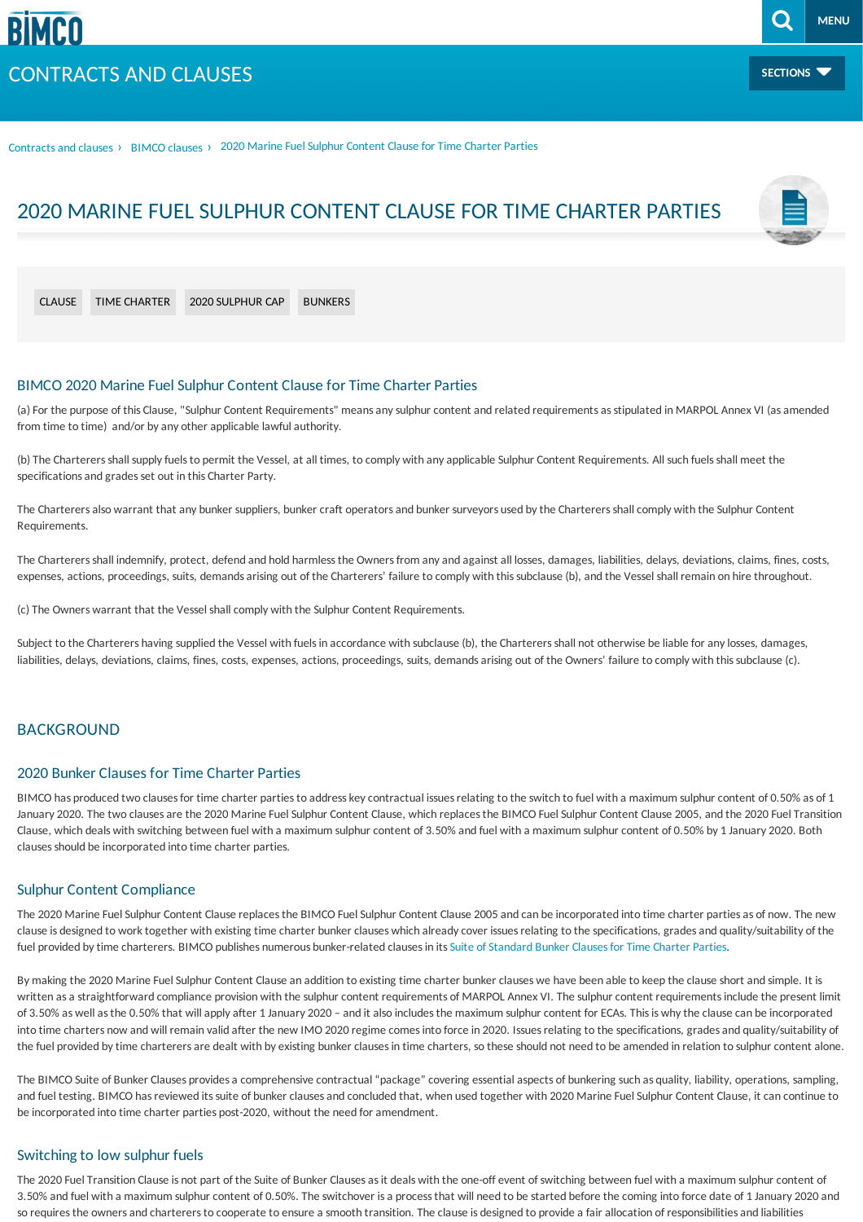Contracts and clauses > [BIMCO](/contracts-and-clauses/bimco-clauses) clauses > 2020 Marine Fuel Sulphur Content Clause for Time Charter Parties

# 2020 MARINE FUEL SULPHUR CONTENT CLAUSE FOR TIME CHARTER PARTIES

[CLAUSE](/search-result?term=Clause) TIME [CHARTER](/search-result?term=Time charter) 2020 [SULPHUR](/search-result?term=2020 sulphur cap) CAP [BUNKERS](/search-result?term=Bunkers)

# BIMCO 2020 Marine Fuel Sulphur Content Clause for Time Charter Parties

(a) For the purpose of this Clause, "Sulphur Content Requirements" means any sulphur content and related requirements as stipulated in MARPOL Annex VI (as amended from time to time) and/or by any other applicable lawful authority.

(b) The Charterers shall supply fuels to permit the Vessel, at all times, to comply with any applicable Sulphur Content Requirements. All such fuels shall meet the specifications and grades set out in this Charter Party.

The Charterers also warrant that any bunker suppliers, bunker craft operators and bunker surveyors used by the Charterers shall comply with the Sulphur Content Requirements.

The Charterers shall indemnify, protect, defend and hold harmless the Owners from any and against all losses, damages, liabilities, delays, deviations, claims, fines, costs, expenses, actions, proceedings, suits, demands arising out of the Charterers' failure to comply with this subclause (b), and the Vessel shall remain on hire throughout.

(c) The Owners warrant that the Vessel shall comply with the Sulphur Content Requirements.

Subject to the Charterers having supplied the Vessel with fuels in accordance with subclause (b), the Charterers shall not otherwise be liable for any losses, damages, liabilities, delays, deviations, claims, fines, costs, expenses, actions, proceedings, suits, demands arising out of the Owners' failure to comply with this subclause (c).

# **BACKGROUND**

# 2020 Bunker Clauses for Time Charter Parties

BIMCO has produced two clauses for time charter parties to address key contractual issues relating to the switch to fuel with a maximum sulphur content of 0.50% as of 1 January 2020. The two clauses are the 2020 Marine Fuel Sulphur Content Clause, which replaces the BIMCO Fuel Sulphur Content Clause 2005, and the 2020 Fuel Transition Clause, which deals with switching between fuel with a maximum sulphur content of 3.50% and fuel with a maximum sulphur content of 0.50% by 1 January 2020. Both clauses should be incorporated into time charter parties.

#### Sulphur Content Compliance

The 2020 Marine Fuel Sulphur Content Clause replaces the BIMCO Fuel Sulphur Content Clause 2005 and can be incorporated into time charter parties as of now. The new clause is designed to work together with existing time charter bunker clauses which already cover issues relating to the specifications, grades and quality/suitability of the fuel provided by time charterers. BIMCO publishes numerous bunker-related clauses in its Suite of Standard Bunker Clauses for Time Charter Parties.

By making the 2020 Marine Fuel Sulphur Content Clause an addition to existing time charter bunker clauses we have been able to keep the clause short and simple. It is written as a straightforward compliance provision with the sulphur content requirements of MARPOL Annex VI. The sulphur content requirements include the present limit of 3.50% as well as the 0.50% that will apply after 1 January 2020 - and it also includes the maximum sulphur content for ECAs. This is why the clause can be incorporated into time charters now and will remain valid after the new IMO 2020 regime comes into force in 2020. Issues relating to the specifications, grades and quality/suitability of the fuel provided by time charterers are dealt with by existing bunker clauses in time charters, so these should not need to be amended in relation to sulphur content alone.

The BIMCO Suite of Bunker Clauses provides a comprehensive contractual "package" covering essential aspects of bunkering such as quality, liability, operations, sampling, and fuel testing. BIMCO has reviewed its suite of bunker clauses and concluded that, when used together with 2020 Marine Fuel Sulphur Content Clause, it can continue to be incorporated into time charter parties post-2020, without the need for amendment.

#### Switching to low sulphur fuels

The 2020 Fuel Transition Clause is not part of the Suite of Bunker Clauses as it deals with the one-off event of switching between fuel with a maximum sulphur content of 3.50% and fuel with a maximum sulphur content of 0.50%. The switchover isa processthat will need to be started before the coming into force date of 1 January 2020 and so requires the owners and charterers to cooperate to ensure a smooth transition. The clause is designed to provide a fair allocation of responsibilities and liabilities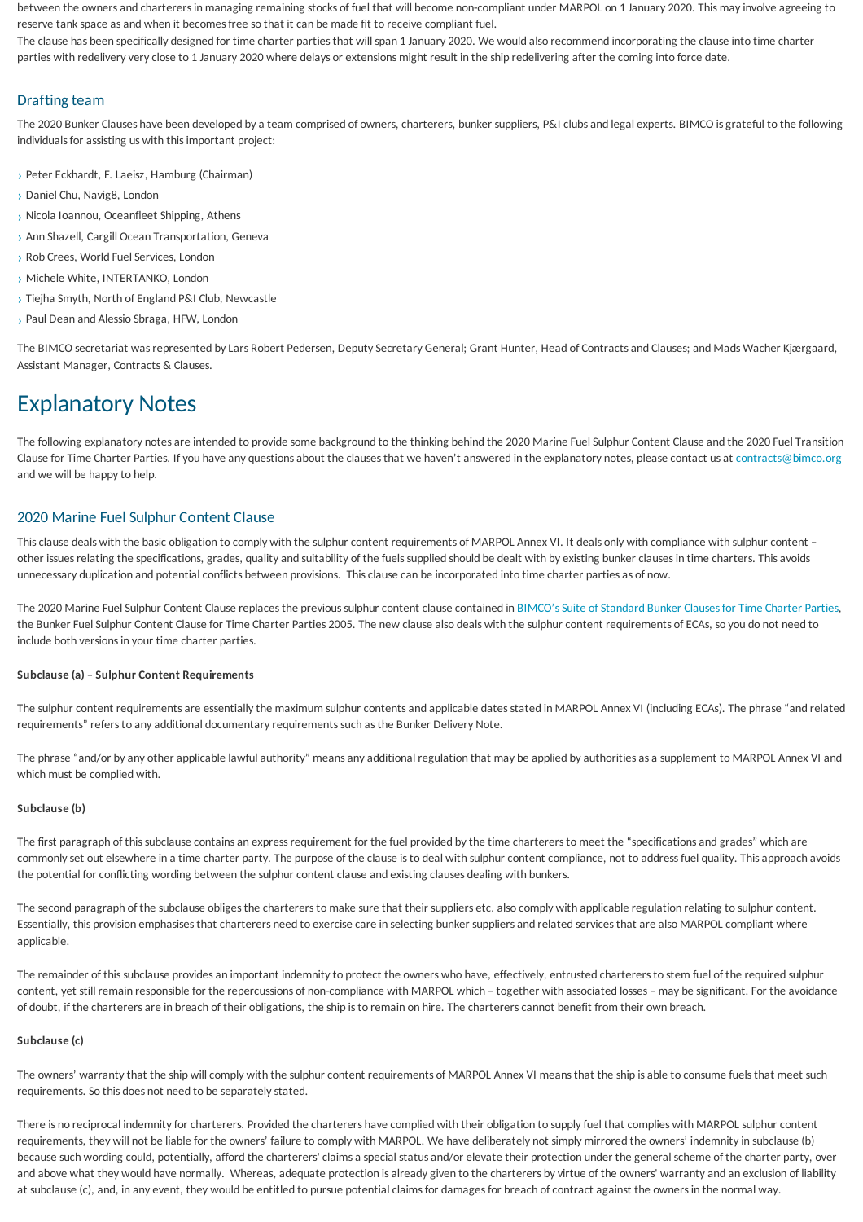between the owners and charterers in managing remaining stocks of fuel that will become non-compliant under MARPOL on 1 January 2020. This may involve agreeing to reserve tank space as and when it becomes free so that it can be made fit to receive compliant fuel.

The clause has been specifically designed for time charter parties that will span 1 January 2020. We would also recommend incorporating the clause into time charter parties with redelivery very close to 1 January 2020 where delays or extensions might result in the ship redelivering after the coming into force date.

# Drafting team

The 2020 Bunker Clauses have been developed by a team comprised of owners, charterers, bunker suppliers, P&I clubs and legal experts. BIMCO is grateful to the following individuals for assisting us with this important project:

- > Peter Eckhardt, F. Laeisz, Hamburg (Chairman)
- › Daniel Chu, Navig8, London
- › Nicola Ioannou, Oceanfleet Shipping, Athens
- › Ann Shazell, Cargill Ocean Transportation, Geneva
- > Rob Crees, World Fuel Services, London
- › Michele White, INTERTANKO, London
- › Tiejha Smyth, North ofEngland P&I Club, Newcastle
- › Paul Dean and Alessio Sbraga, HFW, London

The BIMCO secretariat was represented by Lars Robert Pedersen, Deputy Secretary General; Grant Hunter, Head of Contracts and Clauses; and Mads Wacher Kjærgaard, Assistant Manager, Contracts & Clauses.

# Explanatory Notes

The following explanatory notes are intended to provide some background to the thinking behind the 2020 Marine Fuel Sulphur Content Clause and the 2020 Fuel Transition Clause for Time Charter Parties. If you have any questions about the clauses that we haven't answered in the explanatory notes, please contact us at [contracts@bimco.org](mailto:contracts@bimco.org?subject=2020 Bunker Clauses for Time Charter Parties) and we will be happy to help.

## 2020 Marine Fuel Sulphur Content Clause

This clause deals with the basic obligation to comply with the sulphur content requirements of MARPOL Annex VI. It deals only with compliance with sulphur content other issues relating the specifications, grades, quality and suitability of the fuels supplied should be dealt with by existing bunker clauses in time charters. This avoids unnecessary duplication and potential conflicts between provisions. This clause can be incorporated into time charter parties as of now.

The 2020 Marine Fuel Sulphur Content Clause replaces the previous sulphur content clause contained in BIMCO's Suite of Standard Bunker Clauses for Time Charter Parties, the Bunker Fuel Sulphur Content Clause for Time Charter Parties 2005. The new clause also deals with the sulphur content requirements of ECAs, so you do not need to include both versions in your time charter parties.

#### **Subclause (a) – Sulphur Content Requirements**

The sulphur content requirements are essentially the maximum sulphur contents and applicable dates stated in MARPOL Annex VI (including ECAs). The phrase "and related requirements" refers to any additional documentary requirements such as the Bunker Delivery Note.

The phrase "and/or by any other applicable lawful authority" means any additional regulation that may be applied by authorities as a supplement to MARPOL Annex VI and which must be complied with.

#### **Subclause (b)**

The first paragraph of this subclause contains an express requirement for the fuel provided by the time charterers to meet the "specifications and grades" which are commonly set out elsewhere in a time charter party. The purpose of the clause is to deal with sulphur content compliance, not to address fuel quality. This approach avoids the potential for conflicting wording between the sulphur content clause and existing clauses dealing with bunkers.

The second paragraph of the subclause obliges the charterers to make sure that their suppliers etc. also comply with applicable regulation relating to sulphur content. Essentially, this provision emphasises that charterers need to exercise care in selecting bunker suppliers and related services that are also MARPOL compliant where applicable.

The remainder of this subclause provides an important indemnity to protect the owners who have, effectively, entrusted charterers to stem fuel of the required sulphur content, yet still remain responsible for the repercussions of non-compliance with MARPOL which - together with associated losses - may be significant. For the avoidance of doubt, if the charterersare in breach of their obligations, the ship isto remain on hire. The chartererscannot benefit from their own breach.

#### **Subclause (c)**

The owners' warranty that the ship will comply with the sulphur content requirements of MARPOL Annex VI means that the ship is able to consume fuels that meet such requirements. So this does not need to be separately stated.

There is no reciprocal indemnity for charterers. Provided the charterers have complied with their obligation to supply fuel that complies with MARPOL sulphur content requirements, they will not be liable for the owners' failure to comply with MARPOL. We have deliberately not simply mirrored the owners' indemnity in subclause (b) because such wording could, potentially, afford the charterers' claims a special status and/or elevate their protection under the general scheme of the charter party, over and above what they would have normally. Whereas, adequate protection is already given to the charterers by virtue of the owners' warranty and an exclusion of liability at subclause (c), and, in any event, they would be entitled to pursue potential claims for damages for breach of contract against the owners in the normal way.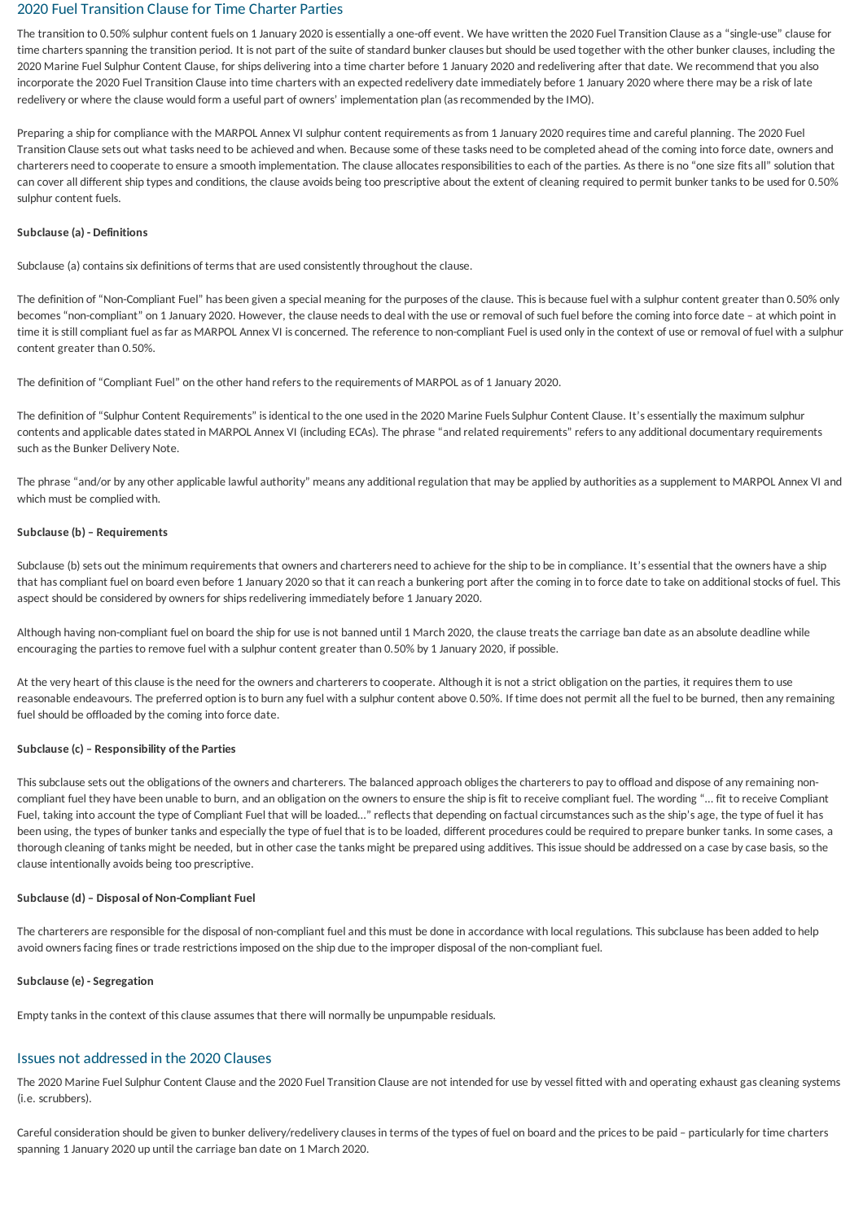# <span id="page-2-0"></span>2020 Fuel Transition Clause for Time Charter Parties

The transition to 0.50% sulphur content fuels on 1 January 2020 is essentially a one-off event. We have written the 2020 Fuel Transition Clause as a "single-use" clause for time chartersspanning the transition period. It is not part of the suite of standard bunker clauses but should be used together with the other bunker clauses, including the 2020 Marine Fuel Sulphur Content Clause, for ships delivering into a time charter before 1 January 2020 and redelivering after that date. We recommend that you also incorporate the 2020 FuelTransition Clause into time charters with an expected redelivery date immediately before 1 January 2020 where there may be a risk of late redelivery or where the clause would form a useful part of owners' implementation plan (asrecommended bythe IMO).

Preparing a ship for compliance with the MARPOL Annex VI sulphur content requirements as from 1 January 2020 requires time and careful planning. The 2020 Fuel Transition Clause sets out what tasks need to be achieved and when. Because some of these tasks need to be completed ahead of the coming into force date, owners and charterers need to cooperate to ensure a smooth implementation. The clause allocatesresponsibilitiesto each of the parties. Asthere is no "one size fitsall" solution that can cover all different ship types and conditions, the clause avoids being too prescriptive about the extent of cleaning required to permit bunker tanks to be used for 0.50% sulphur content fuels.

#### **Subclause (a) - Definitions**

Subclause (a) contains six definitions of terms that are used consistently throughout the clause.

The definition of "Non-Compliant Fuel" has been given a special meaning for the purposes of the clause. This is because fuel with a sulphur content greater than 0.50% only becomes "non-compliant" on 1 January 2020. However, the clause needs to deal with the use or removal of such fuel before the coming into force date - at which point in time it is still compliant fuel as far as MARPOL Annex VI is concerned. The reference to non-compliant Fuel is used only in the context of use or removal of fuel with a sulphur content greater than 0.50%.

The definition of "Compliant Fuel" on the other hand refers to the requirements of MARPOL as of 1 January 2020.

The definition of "Sulphur Content Requirements" is identical to the one used in the 2020 Marine Fuels Sulphur Content Clause. It's essentially the maximum sulphur contents and applicable dates stated in MARPOL Annex VI (including ECAs). The phrase "and related requirements" refers to any additional documentary requirements such asthe Bunker Delivery Note.

The phrase "and/or by any other applicable lawful authority" means any additional regulation that may be applied by authorities as a supplement to MARPOL Annex VI and which must be complied with.

#### **Subclause (b) – Requirements**

Subclause (b) sets out the minimum requirements that owners and charterers need to achieve for the ship to be in compliance. It's essential that the owners have a ship that hascompliant fuel on board even before 1 January 2020 so that it can reach a bunkering port after the coming in to force date to take on additional stocks of fuel. This aspect should be considered by owners for ships redelivering immediately before 1 January 2020.

Although having non-compliant fuel on board the ship for use is not banned until 1 March 2020, the clause treats the carriage ban date as an absolute deadline while encouraging the partiesto remove fuel with a sulphur content greater than 0.50% by 1 January 2020, if possible.

At the very heart of this clause is the need for the owners and charterers to cooperate. Although it is not a strict obligation on the parties, it requires them to use reasonable endeavours. The preferred option is to burn any fuel with a sulphur content above 0.50%. If time does not permit all the fuel to be burned, then any remaining fuel should be offloaded by the coming into force date.

#### **Subclause (c) – Responsibility of the Parties**

This subclause sets out the obligations of the owners and charterers. The balanced approach obliges the charterers to pay to offload and dispose of any remaining noncompliant fuel they have been unable to burn, and an obligation on the owners to ensure the ship is fit to receive compliant fuel. The wording "... fit to receive Compliant Fuel, taking into account the type of Compliant Fuel that will be loaded…" reflects that depending on factual circumstances such as the ship's age, the type of fuel it has been using, the types of bunker tanks and especially the type of fuel that is to be loaded, different procedures could be required to prepare bunker tanks. In some cases, a thorough cleaning of tanks might be needed, but in other case the tanks might be prepared using additives. This issue should be addressed on a case by case basis, so the clause intentionallyavoids being too prescriptive.

#### **Subclause (d) – Disposal of Non-Compliant Fuel**

The charterers are responsible for the disposal of non-compliant fuel and this must be done in accordance with local regulations. This subclause has been added to help avoid owners facing fines or trade restrictions imposed on the ship due to the improper disposal of the non-compliant fuel.

#### **Subclause (e) -Segregation**

Empty tanks in the context of this clause assumes that there will normally be unpumpable residuals.

# Issues not addressed in the 2020 Clauses

The 2020 Marine Fuel Sulphur Content Clause and the 2020 Fuel Transition Clause are not intended for use by vessel fitted with and operating exhaust gas cleaning systems (i.e. scrubbers).

Careful consideration should be given to bunker delivery/redelivery clauses in terms of the types of fuel on board and the prices to be paid - particularly for time charters spanning 1 January 2020 up until the carriage ban date on 1 March 2020.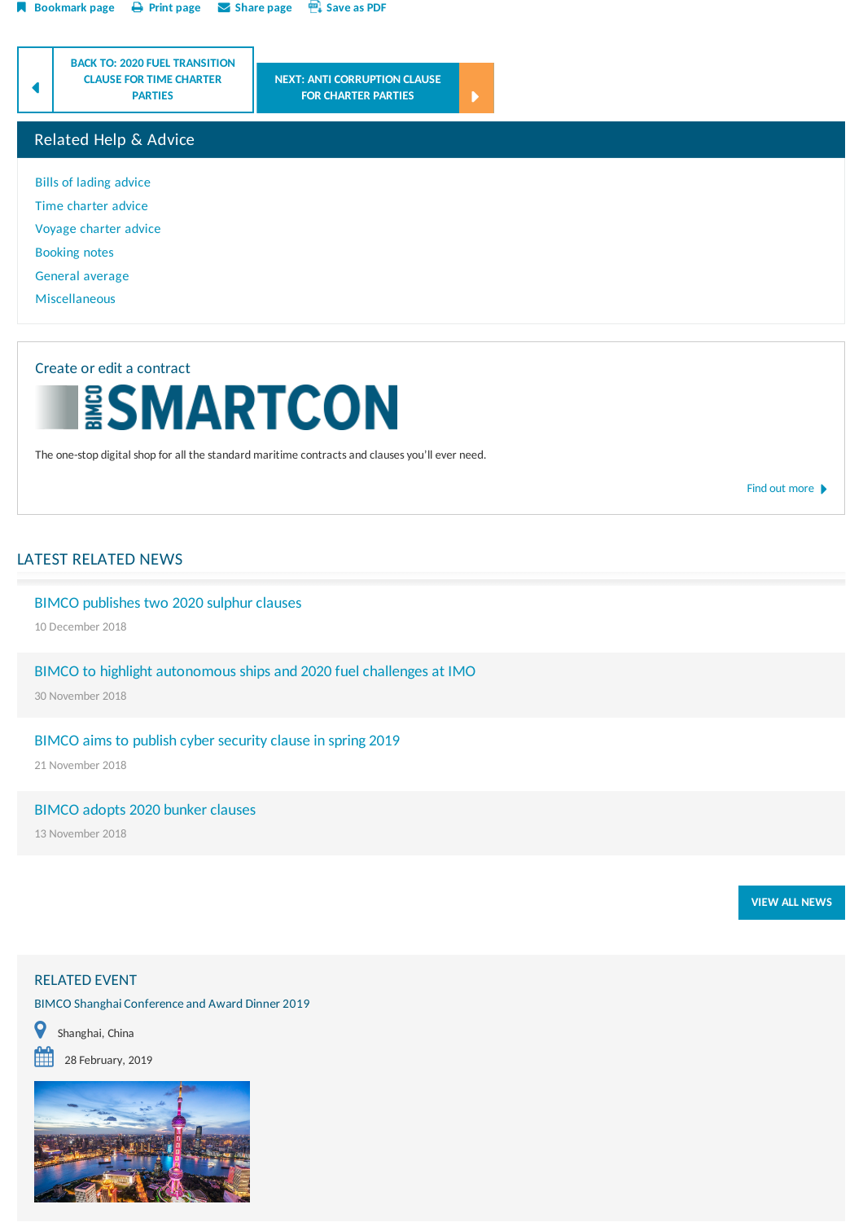



The one-stop digital shop for all the standard maritime contracts and clauses you'll ever need.

Find out [more](/contracts-and-clauses/create-a-contract)  $\blacktriangleright$ 

# LATEST RELATED NEWS

# BIMCO publishes two 2020 sulphur clauses

10 December 2018

BIMCO to highlight autonomous ships and 2020 fuel challenges at IMO

30 November 2018

# BIMCO aims to publish cyber security clause in spring 2019

21 November 2018

#### BIMCO adopts 2020 bunker clauses

13 November 2018

**VIEW ALL [NEWS](/news-and-trends)**

## RELATED EVENT

BIMCO Shanghai Conference and Award Dinner 2019







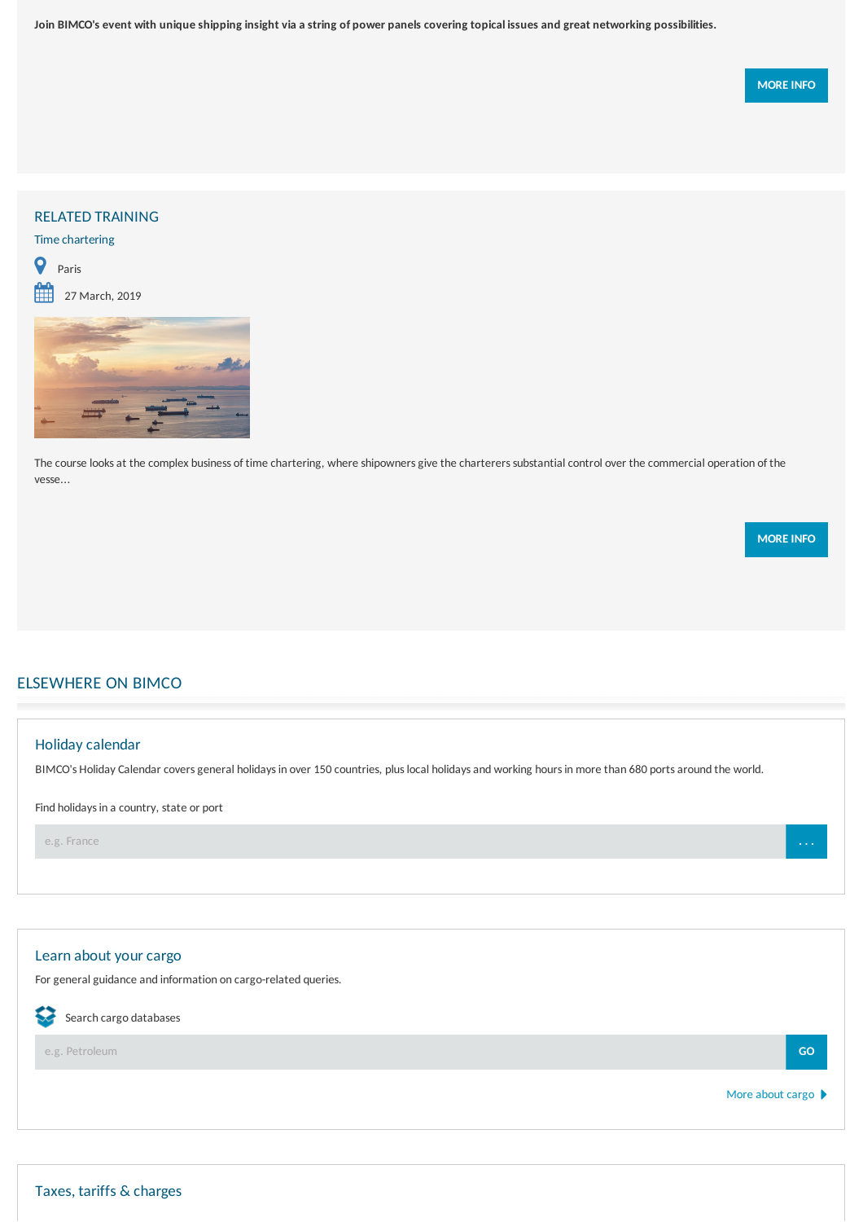Join BIMCO's event with unique shipping insight via a string of power panels covering topical issues and great networking possibilities.

# RELATED TRAINING

# Time chartering



 $27$  March, 2019



The course looks at the complex business of time chartering, where shipowners give the charterers substantial control over the commercial operation of the vesse...

**[MOREINFO](/training/instances/face-to-face/2019/0327_time-charter-masterclass_paris)**

# ELSEWHERE ON BIMCO

# Holidaycalendar BIMCO's Holiday Calendar covers general holidays in over 150 countries, plus local holidays and working hours in more than 680 ports around the world. Find holidays in a country, state or port e.g. France **. . .**